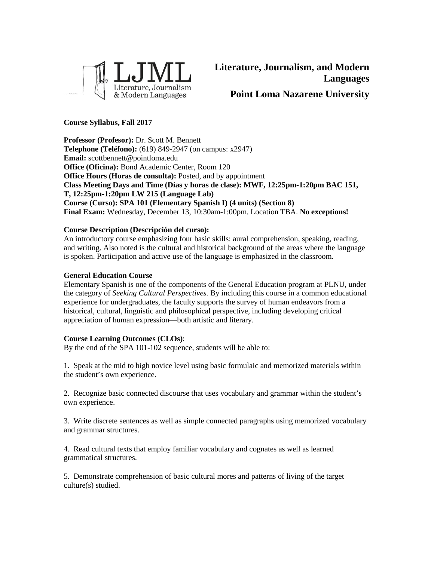

## **Course Syllabus, Fall 2017**

**Professor (Profesor):** Dr. Scott M. Bennett **Telephone (Teléfono):** (619) 849-2947 (on campus: x2947) **Email:** scottbennett@pointloma.edu **Office (Oficina):** Bond Academic Center, Room 120 **Office Hours (Horas de consulta):** Posted, and by appointment **Class Meeting Days and Time (Días y horas de clase): MWF, 12:25pm-1:20pm BAC 151, T, 12:25pm-1:20pm LW 215 (Language Lab) Course (Curso): SPA 101 (Elementary Spanish I) (4 units) (Section 8) Final Exam:** Wednesday, December 13, 10:30am-1:00pm. Location TBA. **No exceptions!**

## **Course Description (Descripción del curso):**

An introductory course emphasizing four basic skills: aural comprehension, speaking, reading, and writing. Also noted is the cultural and historical background of the areas where the language is spoken. Participation and active use of the language is emphasized in the classroom.

#### **General Education Course**

Elementary Spanish is one of the components of the General Education program at PLNU, under the category of *Seeking Cultural Perspectives.* By including this course in a common educational experience for undergraduates, the faculty supports the survey of human endeavors from a historical, cultural, linguistic and philosophical perspective, including developing critical appreciation of human expression—both artistic and literary.

#### **Course Learning Outcomes (CLOs)**:

By the end of the SPA 101-102 sequence, students will be able to:

1. Speak at the mid to high novice level using basic formulaic and memorized materials within the student's own experience.

2. Recognize basic connected discourse that uses vocabulary and grammar within the student's own experience.

3. Write discrete sentences as well as simple connected paragraphs using memorized vocabulary and grammar structures.

4. Read cultural texts that employ familiar vocabulary and cognates as well as learned grammatical structures.

5. Demonstrate comprehension of basic cultural mores and patterns of living of the target culture(s) studied.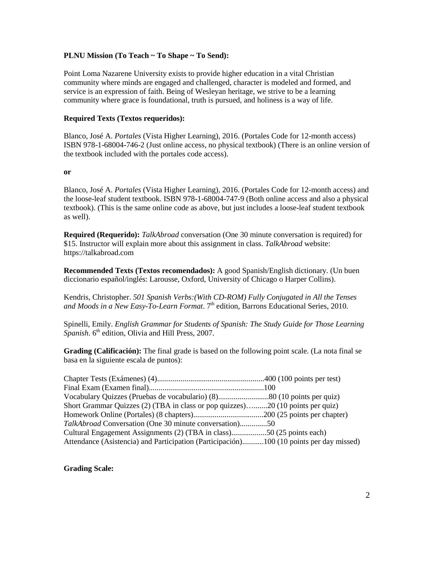#### **PLNU Mission (To Teach ~ To Shape ~ To Send):**

Point Loma Nazarene University exists to provide higher education in a vital Christian community where minds are engaged and challenged, character is modeled and formed, and service is an expression of faith. Being of Wesleyan heritage, we strive to be a learning community where grace is foundational, truth is pursued, and holiness is a way of life.

#### **Required Texts (Textos requeridos):**

Blanco, José A. *Portales* (Vista Higher Learning), 2016. (Portales Code for 12-month access) ISBN 978-1-68004-746-2 (Just online access, no physical textbook) (There is an online version of the textbook included with the portales code access).

#### **or**

Blanco, José A. *Portales* (Vista Higher Learning), 2016. (Portales Code for 12-month access) and the loose-leaf student textbook. ISBN 978-1-68004-747-9 (Both online access and also a physical textbook). (This is the same online code as above, but just includes a loose-leaf student textbook as well).

**Required (Requerido):** *TalkAbroad* conversation (One 30 minute conversation is required) for \$15. Instructor will explain more about this assignment in class. *TalkAbroad* website: https://talkabroad.com

**Recommended Texts (Textos recomendados):** A good Spanish/English dictionary. (Un buen diccionario español/inglés: Larousse, Oxford, University of Chicago o Harper Collins).

Kendris, Christopher. *501 Spanish Verbs:(With CD-ROM) Fully Conjugated in All the Tenses and Moods in a New Easy-To-Learn Format*. 7th edition, Barrons Educational Series, 2010.

Spinelli, Emily. *English Grammar for Students of Spanish: The Study Guide for Those Learning Spanish*. 6<sup>th</sup> edition, Olivia and Hill Press, 2007.

**Grading (Calificación):** The final grade is based on the following point scale. (La nota final se basa en la siguiente escala de puntos):

| Short Grammar Quizzes (2) (TBA in class or pop quizzes)20 (10 points per quiz)          |  |
|-----------------------------------------------------------------------------------------|--|
|                                                                                         |  |
| TalkAbroad Conversation (One 30 minute conversation)50                                  |  |
| Cultural Engagement Assignments (2) (TBA in class)50 (25 points each)                   |  |
| Attendance (Asistencia) and Participation (Participación)100 (10 points per day missed) |  |

#### **Grading Scale:**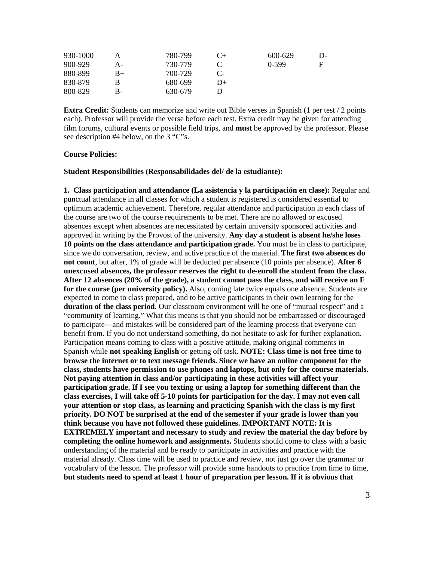| 930-1000 |    | 780-799 |          | 600-629 | $\mathbf{D}$ |
|----------|----|---------|----------|---------|--------------|
| 900-929  | А- | 730-779 |          | $0-599$ | F            |
| 880-899  | B+ | 700-729 | €.       |         |              |
| 830-879  |    | 680-699 | $_{12+}$ |         |              |
| 800-829  | В- | 630-679 |          |         |              |

**Extra Credit:** Students can memorize and write out Bible verses in Spanish (1 per test / 2 points each). Professor will provide the verse before each test. Extra credit may be given for attending film forums, cultural events or possible field trips, and **must** be approved by the professor. Please see description #4 below, on the 3 "C"s.

#### **Course Policies:**

#### **Student Responsibilities (Responsabilidades del/ de la estudiante):**

**1. Class participation and attendance (La asistencia y la participación en clase):** Regular and punctual attendance in all classes for which a student is registered is considered essential to optimum academic achievement. Therefore, regular attendance and participation in each class of the course are two of the course requirements to be met. There are no allowed or excused absences except when absences are necessitated by certain university sponsored activities and approved in writing by the Provost of the university. **Any day a student is absent he/she loses 10 points on the class attendance and participation grade.** You must be in class to participate, since we do conversation, review, and active practice of the material. **The first two absences do not count**, but after, 1% of grade will be deducted per absence (10 points per absence). **After 6 unexcused absences, the professor reserves the right to de-enroll the student from the class. After 12 absences (20% of the grade), a student cannot pass the class, and will receive an F for the course (per university policy).** Also, coming late twice equals one absence. Students are expected to come to class prepared, and to be active participants in their own learning for the **duration of the class period**. Our classroom environment will be one of "mutual respect" and a "community of learning." What this means is that you should not be embarrassed or discouraged to participate—and mistakes will be considered part of the learning process that everyone can benefit from. If you do not understand something, do not hesitate to ask for further explanation. Participation means coming to class with a positive attitude, making original comments in Spanish while **not speaking English** or getting off task. **NOTE: Class time is not free time to browse the internet or to text message friends. Since we have an online component for the class, students have permission to use phones and laptops, but only for the course materials. Not paying attention in class and/or participating in these activities will affect your participation grade. If I see you texting or using a laptop for something different than the class exercises, I will take off 5-10 points for participation for the day. I may not even call your attention or stop class, as learning and practicing Spanish with the class is my first priority. DO NOT be surprised at the end of the semester if your grade is lower than you think because you have not followed these guidelines. IMPORTANT NOTE: It is EXTREMELY important and necessary to study and review the material the day before by completing the online homework and assignments.** Students should come to class with a basic understanding of the material and be ready to participate in activities and practice with the material already. Class time will be used to practice and review, not just go over the grammar or vocabulary of the lesson. The professor will provide some handouts to practice from time to time, **but students need to spend at least 1 hour of preparation per lesson. If it is obvious that**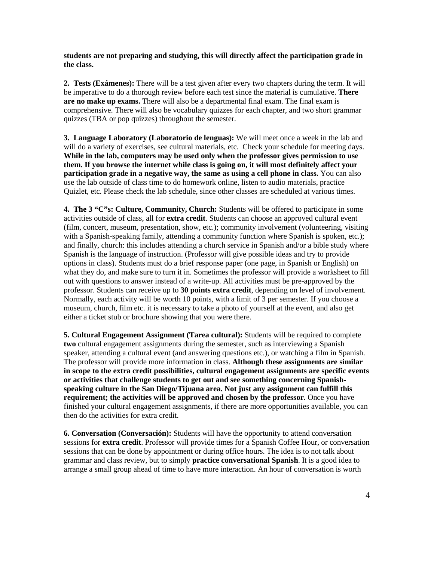**students are not preparing and studying, this will directly affect the participation grade in the class.**

**2. Tests (Exámenes):** There will be a test given after every two chapters during the term. It will be imperative to do a thorough review before each test since the material is cumulative. **There are no make up exams.** There will also be a departmental final exam. The final exam is comprehensive. There will also be vocabulary quizzes for each chapter, and two short grammar quizzes (TBA or pop quizzes) throughout the semester.

**3. Language Laboratory (Laboratorio de lenguas):** We will meet once a week in the lab and will do a variety of exercises, see cultural materials, etc. Check your schedule for meeting days. **While in the lab, computers may be used only when the professor gives permission to use them. If you browse the internet while class is going on, it will most definitely affect your participation grade in a negative way, the same as using a cell phone in class.** You can also use the lab outside of class time to do homework online, listen to audio materials, practice Quizlet, etc. Please check the lab schedule, since other classes are scheduled at various times.

**4. The 3 "C"s: Culture, Community, Church:** Students will be offered to participate in some activities outside of class, all for **extra credit**. Students can choose an approved cultural event (film, concert, museum, presentation, show, etc.); community involvement (volunteering, visiting with a Spanish-speaking family, attending a community function where Spanish is spoken, etc.); and finally, church: this includes attending a church service in Spanish and/or a bible study where Spanish is the language of instruction. (Professor will give possible ideas and try to provide options in class). Students must do a brief response paper (one page, in Spanish or English) on what they do, and make sure to turn it in. Sometimes the professor will provide a worksheet to fill out with questions to answer instead of a write-up. All activities must be pre-approved by the professor. Students can receive up to **30 points extra credit**, depending on level of involvement. Normally, each activity will be worth 10 points, with a limit of 3 per semester. If you choose a museum, church, film etc. it is necessary to take a photo of yourself at the event, and also get either a ticket stub or brochure showing that you were there.

**5. Cultural Engagement Assignment (Tarea cultural):** Students will be required to complete **two** cultural engagement assignments during the semester, such as interviewing a Spanish speaker, attending a cultural event (and answering questions etc.), or watching a film in Spanish. The professor will provide more information in class. **Although these assignments are similar in scope to the extra credit possibilities, cultural engagement assignments are specific events or activities that challenge students to get out and see something concerning Spanishspeaking culture in the San Diego/Tijuana area. Not just any assignment can fulfill this requirement; the activities will be approved and chosen by the professor.** Once you have finished your cultural engagement assignments, if there are more opportunities available, you can then do the activities for extra credit.

**6. Conversation (Conversación):** Students will have the opportunity to attend conversation sessions for **extra credit**. Professor will provide times for a Spanish Coffee Hour, or conversation sessions that can be done by appointment or during office hours. The idea is to not talk about grammar and class review, but to simply **practice conversational Spanish**. It is a good idea to arrange a small group ahead of time to have more interaction. An hour of conversation is worth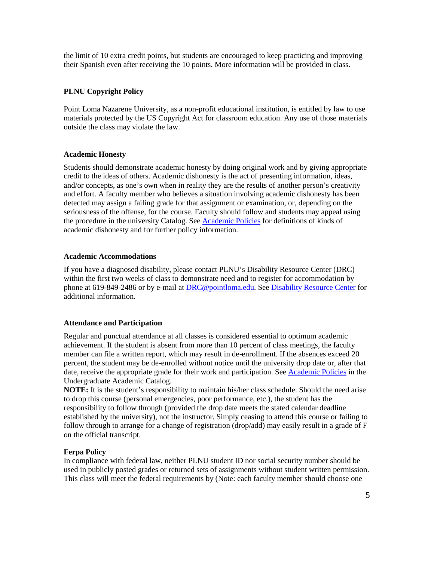the limit of 10 extra credit points, but students are encouraged to keep practicing and improving their Spanish even after receiving the 10 points. More information will be provided in class.

## **PLNU Copyright Policy**

Point Loma Nazarene University, as a non-profit educational institution, is entitled by law to use materials protected by the US Copyright Act for classroom education. Any use of those materials outside the class may violate the law.

## **Academic Honesty**

Students should demonstrate academic honesty by doing original work and by giving appropriate credit to the ideas of others. Academic dishonesty is the act of presenting information, ideas, and/or concepts, as one's own when in reality they are the results of another person's creativity and effort. A faculty member who believes a situation involving academic dishonesty has been detected may assign a failing grade for that assignment or examination, or, depending on the seriousness of the offense, for the course. Faculty should follow and students may appeal using the procedure in the university Catalog. See [Academic Policies](http://catalog.pointloma.edu/content.php?catoid=18&navoid=1278) for definitions of kinds of academic dishonesty and for further policy information.

#### **Academic Accommodations**

If you have a diagnosed disability, please contact PLNU's Disability Resource Center (DRC) within the first two weeks of class to demonstrate need and to register for accommodation by phone at 619-849-2486 or by e-mail at [DRC@pointloma.edu.](mailto:DRC@pointloma.edu) Se[e Disability Resource Center](http://www.pointloma.edu/experience/offices/administrative-offices/academic-advising-office/disability-resource-center) for additional information.

## **Attendance and Participation**

Regular and punctual attendance at all classes is considered essential to optimum academic achievement. If the student is absent from more than 10 percent of class meetings, the faculty member can file a written report, which may result in de-enrollment. If the absences exceed 20 percent, the student may be de-enrolled without notice until the university drop date or, after that date, receive the appropriate grade for their work and participation. Se[e Academic Policies](http://catalog.pointloma.edu/content.php?catoid=18&navoid=1278) in the Undergraduate Academic Catalog.

**NOTE:** It is the student's responsibility to maintain his/her class schedule. Should the need arise to drop this course (personal emergencies, poor performance, etc.), the student has the responsibility to follow through (provided the drop date meets the stated calendar deadline established by the university), not the instructor. Simply ceasing to attend this course or failing to follow through to arrange for a change of registration (drop/add) may easily result in a grade of F on the official transcript.

## **Ferpa Policy**

In compliance with federal law, neither PLNU student ID nor social security number should be used in publicly posted grades or returned sets of assignments without student written permission. This class will meet the federal requirements by (Note: each faculty member should choose one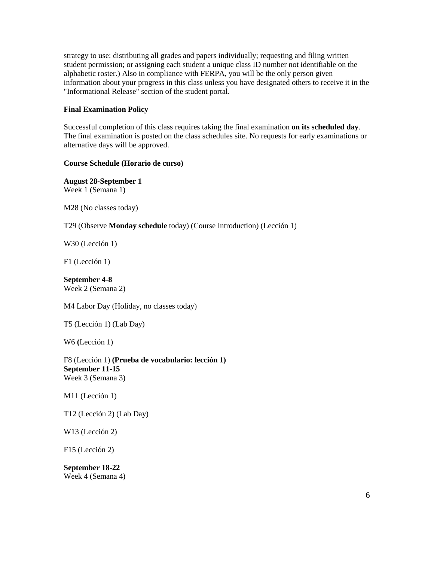strategy to use: distributing all grades and papers individually; requesting and filing written student permission; or assigning each student a unique class ID number not identifiable on the alphabetic roster.) Also in compliance with FERPA, you will be the only person given information about your progress in this class unless you have designated others to receive it in the "Informational Release" section of the student portal.

## **Final Examination Policy**

Successful completion of this class requires taking the final examination **on its scheduled day**. The final examination is posted on the class schedules site. No requests for early examinations or alternative days will be approved.

## **Course Schedule (Horario de curso)**

**August 28-September 1** Week 1 (Semana 1)

M28 (No classes today)

T29 (Observe **Monday schedule** today) (Course Introduction) (Lección 1)

W30 (Lección 1)

F1 (Lección 1)

**September 4-8** Week 2 (Semana 2)

M4 Labor Day (Holiday, no classes today)

T5 (Lección 1) (Lab Day)

W6 **(**Lección 1)

F8 (Lección 1) **(Prueba de vocabulario: lección 1) September 11-15** Week 3 (Semana 3)

M11 (Lección 1)

T12 (Lección 2) (Lab Day)

W13 (Lección 2)

F15 (Lección 2)

**September 18-22** Week 4 (Semana 4)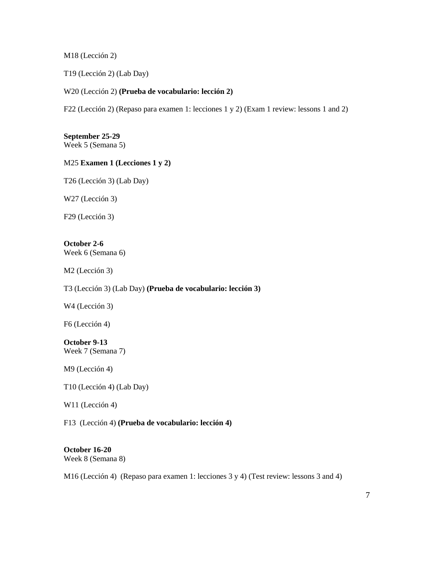M18 (Lección 2)

T19 (Lección 2) (Lab Day)

#### W20 (Lección 2) **(Prueba de vocabulario: lección 2)**

F22 (Lección 2) (Repaso para examen 1: lecciones 1 y 2) (Exam 1 review: lessons 1 and 2)

**September 25-29** Week 5 (Semana 5)

## M25 **Examen 1 (Lecciones 1 y 2)**

T26 (Lección 3) (Lab Day)

W27 (Lección 3)

F29 (Lección 3)

**October 2-6** Week 6 (Semana 6)

M2 (Lección 3)

T3 (Lección 3) (Lab Day) **(Prueba de vocabulario: lección 3)**

W4 (Lección 3)

F6 (Lección 4)

**October 9-13** Week 7 (Semana 7)

M9 (Lección 4)

T10 (Lección 4) (Lab Day)

W11 (Lección 4)

F13 (Lección 4) **(Prueba de vocabulario: lección 4)**

# **October 16-20**

Week 8 (Semana 8)

M16 (Lección 4) (Repaso para examen 1: lecciones 3 y 4) (Test review: lessons 3 and 4)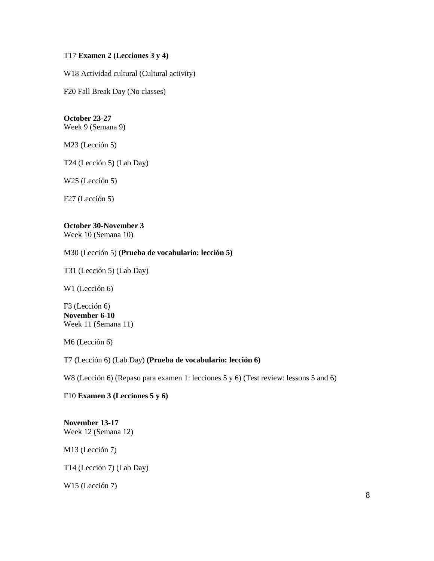#### T17 **Examen 2 (Lecciones 3 y 4)**

W18 Actividad cultural (Cultural activity)

F20 Fall Break Day (No classes)

# **October 23-27**

Week 9 (Semana 9)

M23 (Lección 5)

T24 (Lección 5) (Lab Day)

W25 (Lección 5)

F27 (Lección 5)

# **October 30-November 3**

Week 10 (Semana 10)

## M30 (Lección 5) **(Prueba de vocabulario: lección 5)**

T31 (Lección 5) (Lab Day)

W1 (Lección 6)

F3 (Lección 6) **November 6-10** Week 11 (Semana 11)

M6 (Lección 6)

## T7 (Lección 6) (Lab Day) **(Prueba de vocabulario: lección 6)**

W8 (Lección 6) (Repaso para examen 1: lecciones 5 y 6) (Test review: lessons 5 and 6)

## F10 **Examen 3 (Lecciones 5 y 6)**

## **November 13-17** Week 12 (Semana 12)

M13 (Lección 7)

T14 (Lección 7) (Lab Day)

W15 (Lección 7)